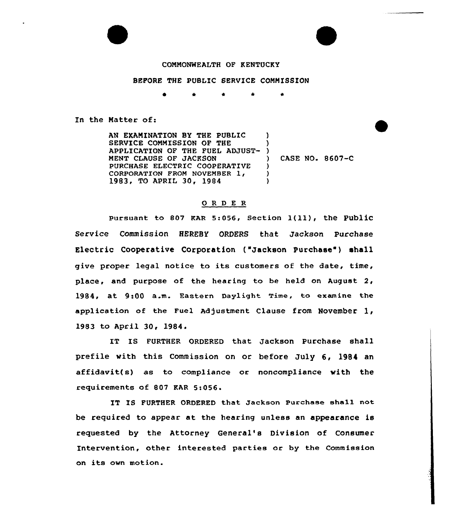

## COMMONWEALTH OF KENTUCKY

## BEFORE THE PUBLIC SERVICE COMMISSION

\* <sup>4</sup> \*

In the Natter of:

AN EKAMINATION BY THE PUBLIC SERVICE COMMISSION OF THE APPLICATION OF THE FUEL ADJUST-) MENT CIAUSE OF JACKSON PURCHASE ELECTRIC COOPERATIVE CORPORATION FROM NOVEMBER 1, 1983, TO APRIL 30, 1984  $\mathbf{I}$ ) ) CASE NO. 8607-C  $\lambda$ )  $\lambda$ 

## 0 <sup>R</sup> <sup>D</sup> <sup>E</sup> <sup>R</sup>

Pursuant to 807 KAR 5:056, Section  $1(11)$ , the Public Service Commission HEREBY ORDERS that Jackson Purchase Electric Cooperative Corporation ("Jackson Purchase") shall give proper legal notice to its customers af the date, time, place, and purpose of the hearing to be held on August  $2$ , 1984, at 9:00 a.m. Eastern Daylight Time, to examine the application of the Fuel Adjustment Clause from November  $1,$ 1983 to April 30, 1984.

IT IS FURTHER ORDERED that Jackson Purchase shall prefile with this Commission on or before July 6, l984 an affidavit(s) as to compliance or noncompliance with the requirements af 807 KAR Si056.

IT IS FURTHER ORDERED that Jackson Purchase ehall not be required to appear at the hearing unless an appearance is requested by the Attorney General's Division of Consumer Intervention, ether interested parties ar by the Commission on its own motion.